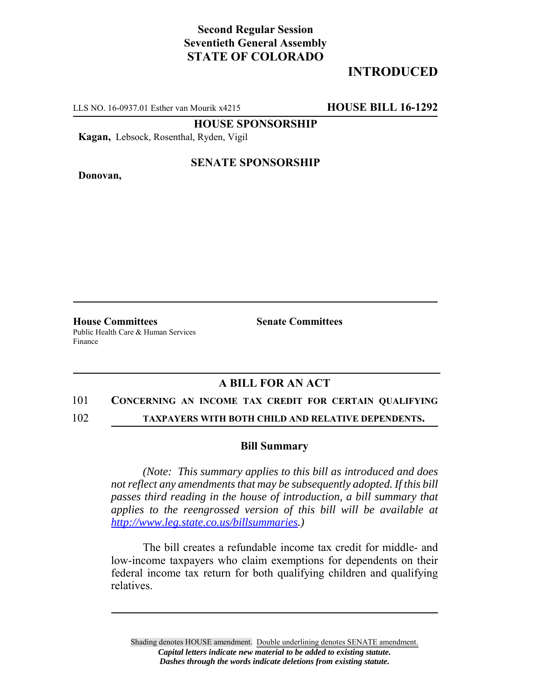# **Second Regular Session Seventieth General Assembly STATE OF COLORADO**

# **INTRODUCED**

LLS NO. 16-0937.01 Esther van Mourik x4215 **HOUSE BILL 16-1292**

**HOUSE SPONSORSHIP**

**Kagan,** Lebsock, Rosenthal, Ryden, Vigil

**Donovan,**

### **SENATE SPONSORSHIP**

**House Committees Senate Committees** Public Health Care & Human Services Finance

## **A BILL FOR AN ACT**

### 101 **CONCERNING AN INCOME TAX CREDIT FOR CERTAIN QUALIFYING**

102 **TAXPAYERS WITH BOTH CHILD AND RELATIVE DEPENDENTS.**

### **Bill Summary**

*(Note: This summary applies to this bill as introduced and does not reflect any amendments that may be subsequently adopted. If this bill passes third reading in the house of introduction, a bill summary that applies to the reengrossed version of this bill will be available at http://www.leg.state.co.us/billsummaries.)*

The bill creates a refundable income tax credit for middle- and low-income taxpayers who claim exemptions for dependents on their federal income tax return for both qualifying children and qualifying relatives.

Shading denotes HOUSE amendment. Double underlining denotes SENATE amendment. *Capital letters indicate new material to be added to existing statute. Dashes through the words indicate deletions from existing statute.*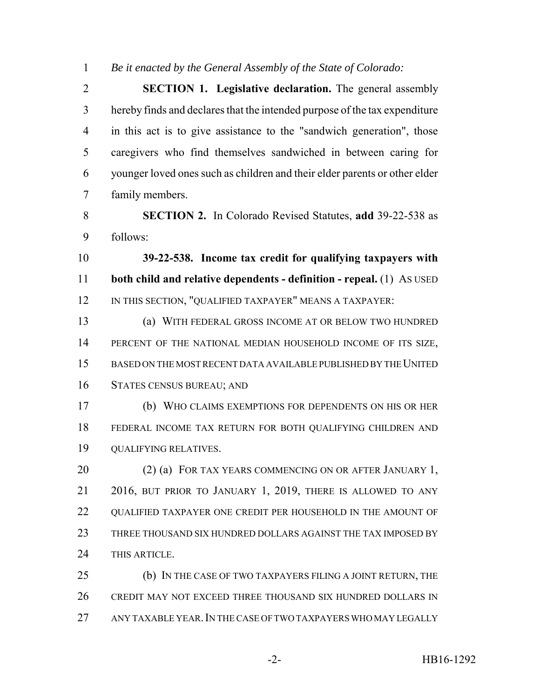*Be it enacted by the General Assembly of the State of Colorado:*

 **SECTION 1. Legislative declaration.** The general assembly hereby finds and declares that the intended purpose of the tax expenditure in this act is to give assistance to the "sandwich generation", those caregivers who find themselves sandwiched in between caring for younger loved ones such as children and their elder parents or other elder family members.

 **SECTION 2.** In Colorado Revised Statutes, **add** 39-22-538 as follows:

 **39-22-538. Income tax credit for qualifying taxpayers with both child and relative dependents - definition - repeal.** (1) AS USED 12 IN THIS SECTION, "QUALIFIED TAXPAYER" MEANS A TAXPAYER:

 (a) WITH FEDERAL GROSS INCOME AT OR BELOW TWO HUNDRED 14 PERCENT OF THE NATIONAL MEDIAN HOUSEHOLD INCOME OF ITS SIZE, BASED ON THE MOST RECENT DATA AVAILABLE PUBLISHED BY THE UNITED STATES CENSUS BUREAU; AND

 (b) WHO CLAIMS EXEMPTIONS FOR DEPENDENTS ON HIS OR HER FEDERAL INCOME TAX RETURN FOR BOTH QUALIFYING CHILDREN AND QUALIFYING RELATIVES.

20 (2) (a) FOR TAX YEARS COMMENCING ON OR AFTER JANUARY 1, 2016, BUT PRIOR TO JANUARY 1, 2019, THERE IS ALLOWED TO ANY 22 QUALIFIED TAXPAYER ONE CREDIT PER HOUSEHOLD IN THE AMOUNT OF THREE THOUSAND SIX HUNDRED DOLLARS AGAINST THE TAX IMPOSED BY THIS ARTICLE.

25 (b) IN THE CASE OF TWO TAXPAYERS FILING A JOINT RETURN, THE CREDIT MAY NOT EXCEED THREE THOUSAND SIX HUNDRED DOLLARS IN ANY TAXABLE YEAR.IN THE CASE OF TWO TAXPAYERS WHO MAY LEGALLY